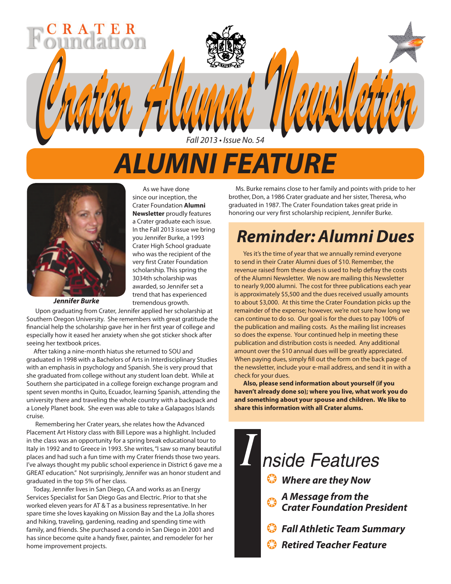# *ALUMNI FEATURE*

As we have done since our inception, the Crater Foundation **Alumni Newsletter** proudly features a Crater graduate each issue. In the Fall 2013 issue we bring you Jennifer Burke, a 1993 Crater High School graduate who was the recipient of the very first Crater Foundation scholarship. This spring the 3034th scholarship was awarded, so Jennifer set a trend that has experienced tremendous growth.

*Crater Alumni Newsletter Crater Alumni Newsletter*

Fall 2013 • Issue No. 54



*Jennifer Burke*

Upon graduating from Crater, Jennifer applied her scholarship at Southern Oregon University. She remembers with great gratitude the financial help the scholarship gave her in her first year of college and especially how it eased her anxiety when she got sticker shock after seeing her textbook prices.

 After taking a nine-month hiatus she returned to SOU and graduated in 1998 with a Bachelors of Arts in Interdisciplinary Studies with an emphasis in psychology and Spanish. She is very proud that she graduated from college without any student loan debt. While at Southern she participated in a college foreign exchange program and spent seven months in Quito, Ecuador, learning Spanish, attending the university there and traveling the whole country with a backpack and a Lonely Planet book. She even was able to take a Galapagos Islands cruise.

Remembering her Crater years, she relates how the Advanced Placement Art History class with Bill Lepore was a highlight. Included in the class was an opportunity for a spring break educational tour to Italy in 1992 and to Greece in 1993. She writes, "I saw so many beautiful places and had such a fun time with my Crater friends those two years. I've always thought my public school experience in District 6 gave me a GREAT education." Not surprisingly, Jennifer was an honor student and graduated in the top 5% of her class.

 Today, Jennifer lives in San Diego, CA and works as an Energy Services Specialist for San Diego Gas and Electric. Prior to that she worked eleven years for AT & T as a business representative. In her spare time she loves kayaking on Mission Bay and the La Jolla shores and hiking, traveling, gardening, reading and spending time with family, and friends. She purchased a condo in San Diego in 2001 and has since become quite a handy fixer, painter, and remodeler for her home improvement projects.

 Ms. Burke remains close to her family and points with pride to her brother, Don, a 1986 Crater graduate and her sister, Theresa, who graduated in 1987. The Crater Foundation takes great pride in honoring our very first scholarship recipient, Jennifer Burke.

## *Reminder: Alumni Dues*

Yes it's the time of year that we annually remind everyone to send in their Crater Alumni dues of \$10. Remember, the revenue raised from these dues is used to help defray the costs of the Alumni Newsletter. We now are mailing this Newsletter to nearly 9,000 alumni. The cost for three publications each year is approximately \$5,500 and the dues received usually amounts to about \$3,000. At this time the Crater Foundation picks up the remainder of the expense; however, we're not sure how long we can continue to do so. Our goal is for the dues to pay 100% of the publication and mailing costs. As the mailing list increases so does the expense. Your continued help in meeting these publication and distribution costs is needed. Any additional amount over the \$10 annual dues will be greatly appreciated. When paying dues, simply fill out the form on the back page of the newsletter, include your e-mail address, and send it in with a check for your dues.

**Also, please send information about yourself (if you haven't already done so); where you live, what work you do and something about your spouse and children. We like to share this information with all Crater alums.**

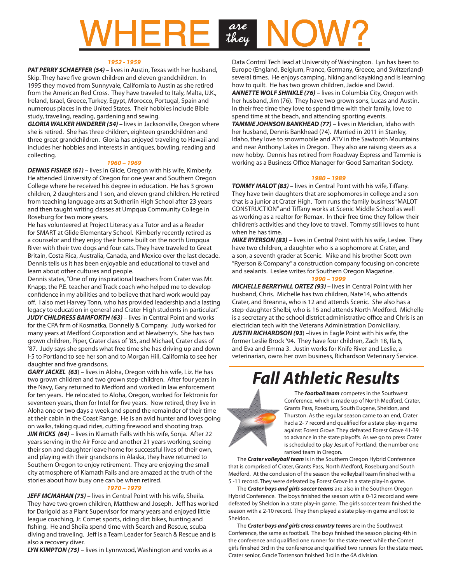# are<br>they

### *1952 - 1959*

**PAT PERRY SCHAEFFER (54) – lives in Austin, Texas with her husband,** Skip. They have five grown children and eleven grandchildren. In 1995 they moved from Sunnyvale, California to Austin as she retired from the American Red Cross. They have traveled to Italy, Malta, U.K., Ireland, Israel, Greece, Turkey, Egypt, Morocco, Portugal, Spain and numerous places in the United States. Their hobbies include Bible study, traveling, reading, gardening and sewing.

*GLORIA WALKER HINDERER (54) –* lives in Jacksonville, Oregon where she is retired. She has three children, eighteen grandchildren and three great grandchildren. Gloria has enjoyed traveling to Hawaii and includes her hobbies and interests in antiques, bowling, reading and collecting.

### *1960 – 1969*

*DENNIS FISHER (61) –* lives in Glide, Oregon with his wife, Kimberly. He attended University of Oregon for one year and Southern Oregon College where he received his degree in education. He has 3 grown children, 2 daughters and 1 son, and eleven grand children. He retired from teaching language arts at Sutherlin High School after 23 years and then taught writing classes at Umpqua Community College in Roseburg for two more years.

He has volunteered at Project Literacy as a Tutor and as a Reader for SMART at Glide Elementary School. Kimberly recently retired as a counselor and they enjoy their home built on the north Umpqua River with their two dogs and four cats. They have traveled to Great Britain, Costa Rica, Australia, Canada, and Mexico over the last decade. Dennis tells us it has been enjoyable and educational to travel and learn about other cultures and people.

Dennis states, "One of my inspirational teachers from Crater was Mr. Knapp, the P.E. teacher and Track coach who helped me to develop confidence in my abilities and to believe that hard work would pay off. I also met Harvey Tonn, who has provided leadership and a lasting legacy to education in general and Crater High students in particular." *JUDY CHILDRESS BAMFORTH (63)* – lives in Central Point and works for the CPA firm of Kosmatka, Donnelly & Company. Judy worked for many years at Medford Corporation and at Newberry's. She has two grown children, Piper, Crater class of '85, and Michael, Crater class of '87. Judy says she spends what free time she has driving up and down I-5 to Portland to see her son and to Morgan Hill, California to see her daughter and five grandsons.

*GARY JACKEL (63*) – lives in Aloha, Oregon with his wife, Liz. He has two grown children and two grown step-children. After four years in the Navy, Gary returned to Medford and worked in law enforcement for ten years. He relocated to Aloha, Oregon, worked for Tektronix for seventeen years, then for Intel for five years. Now retired, they live in Aloha one or two days a week and spend the remainder of their time at their cabin in the Coast Range. He is an avid hunter and loves going on walks, taking quad rides, cutting firewood and shooting trap. **JIM RICKS (64)** – lives in Klamath Falls with his wife, Sonja. After 22 years serving in the Air Force and another 21 years working, seeing their son and daughter leave home for successful lives of their own, and playing with their grandsons in Alaska, they have returned to Southern Oregon to enjoy retirement. They are enjoying the small city atmosphere of Klamath Falls and are amazed at the truth of the stories about how busy one can be when retired.

### *1970 – 1979*

**JEFF MCMAHAN (75)** – lives in Central Point with his wife, Sheila. They have two grown children, Matthew and Joseph. Jeff has worked for Darigold as a Plant Supervisor for many years and enjoyed little league coaching, Jr. Comet sports, riding dirt bikes, hunting and fishing. He and Sheila spend time with Search and Rescue, scuba diving and traveling. Jeff is a Team Leader for Search & Rescue and is also a recovery diver.

*LYN KIMPTON (75)* – lives in Lynnwood, Washington and works as a

Data Control Tech lead at University of Washington. Lyn has been to Europe (England, Belgium, France, Germany, Greece, and Switzerland) several times. He enjoys camping, hiking and kayaking and is learning how to quilt. He has two grown children, Jackie and David.

*ANNETTE WOLF SHINKLE (76)* – lives in Columbia City, Oregon with her husband, Jim (76). They have two grown sons, Lucas and Austin. In their free time they love to spend time with their family, love to spend time at the beach, and attending sporting events.

*TAMMIE JOHNSON BANKHEAD (77)* – lives in Meridian, Idaho with her husband, Dennis Bankhead (74). Married in 2011 in Stanley, Idaho, they love to snowmobile and ATV in the Sawtooth Mountains and near Anthony Lakes in Oregon. They also are raising steers as a new hobby. Dennis has retired from Roadway Express and Tammie is working as a Business Office Manager for Good Samaritan Society.

#### *1980 – 1989*

*TOMMY MALOT (83) –* lives in Central Point with his wife, Tiffany. They have twin daughters that are sophomores in college and a son that is a junior at Crater High. Tom runs the family business "MALOT CONSTRUCTION" and Tiffany works at Scenic Middle School as well as working as a realtor for Remax. In their free time they follow their children's activities and they love to travel. Tommy still loves to hunt when he has time.

*MIKE RYERSON (83)* – lives in Central Point with his wife, Leslee. They have two children, a daughter who is a sophomore at Crater, and a son, a seventh grader at Scenic. Mike and his brother Scott own "Ryerson & Company" a construction company focusing on concrete and sealants. Leslee writes for Southern Oregon Magazine.

### *1990 – 1999*

*MICHELLE BERRYHILL ORTEZ (93) –* lives in Central Point with her husband, Chris. Michelle has two children, Nate14, who attends Crater, and Breanna, who is 12 and attends Scenic. She also has a step-daughter Shelbi, who is 16 and attends North Medford. Michelle is a secretary at the school district administrative office and Chris is an electrician tech with the Veterans Administration Domiciliary. **JUSTIN RICHARDSON (93)** –lives in Eagle Point with his wife, the former Leslie Brock '94. They have four children, Zach 18, Ila 6, and Eva and Emma 3. Justin works for Knife River and Leslie, a veterinarian, owns her own business, Richardson Veterinary Service.

## *Fall Athletic Results*



The *football team* competes in the Southwest Conference, which is made up of North Medford, Crater, Grants Pass, Roseburg, South Eugene, Sheldon, and Thurston. As the regular season came to an end, Crater had a 2- 7 record and qualified for a state play-in game against Forest Grove. They defeated Forest Grove 41-39 to advance in the state playoffs. As we go to press Crater is scheduled to play Jesuit of Portland, the number one ranked team in Oregon.

The *Crater volleyball team* is in the Southern Oregon Hybrid Conference that is comprised of Crater, Grants Pass, North Medford, Roseburg and South Medford. At the conclusion of the season the volleyball team finished with a 5 -11 record. They were defeated by Forest Grove in a state play-in game.

The *Crater boys and girls soccer teams* are also in the Southern Oregon Hybrid Conference. The boys finished the season with a 0-12 record and were defeated by Sheldon in a state play-in game. The girls soccer team finished the season with a 2-10 record. They then played a state play-in game and lost to Sheldon.

The *Crater boys and girls cross country teams* are in the Southwest Conference, the same as football. The boys finished the season placing 4th in the conference and qualified one runner for the state meet while the Comet girls finished 3rd in the conference and qualified two runners for the state meet. Crater senior, Gracie Tostenson finished 3rd in the 6A division.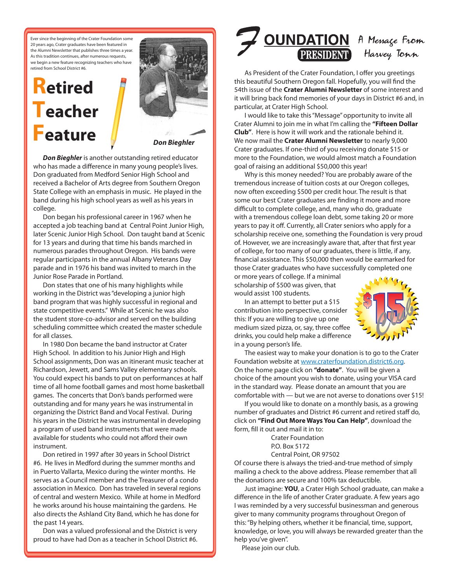Ever since the beginning of the Crater Foundation some 20 years ago, Crater graduates have been featured in the Alumni Newsletter that publishes three times a year. As this tradition continues, after numerous requests, we begin a new feature recognizing teachers who have retired from School District #6.

## **Retired Teacher Feature**



*Don Bieghler*

*Don Bieghler* is another outstanding retired educator who has made a difference in many young people's lives. Don graduated from Medford Senior High School and received a Bachelor of Arts degree from Southern Oregon State College with an emphasis in music. He played in the band during his high school years as well as his years in college.

Don began his professional career in 1967 when he accepted a job teaching band at Central Point Junior High, later Scenic Junior High School. Don taught band at Scenic for 13 years and during that time his bands marched in numerous parades throughout Oregon. His bands were regular participants in the annual Albany Veterans Day parade and in 1976 his band was invited to march in the Junior Rose Parade in Portland.

Don states that one of his many highlights while working in the District was "developing a junior high band program that was highly successful in regional and state competitive events." While at Scenic he was also the student store-co-advisor and served on the building scheduling committee which created the master schedule for all classes.

In 1980 Don became the band instructor at Crater High School. In addition to his Junior High and High School assignments, Don was an itinerant music teacher at Richardson, Jewett, and Sams Valley elementary schools. You could expect his bands to put on performances at half time of all home football games and most home basketball games. The concerts that Don's bands performed were outstanding and for many years he was instrumental in organizing the District Band and Vocal Festival. During his years in the District he was instrumental in developing a program of used band instruments that were made available for students who could not afford their own instrument.

Don retired in 1997 after 30 years in School District #6. He lives in Medford during the summer months and in Puerto Vallarta, Mexico during the winter months. He serves as a Council member and the Treasurer of a condo association in Mexico. Don has traveled in several regions of central and western Mexico. While at home in Medford he works around his house maintaining the gardens. He also directs the Ashland City Band, which he has done for the past 14 years.

Don was a valued professional and the District is very proud to have had Don as a teacher in School District #6.

# **OUNDATION** A Message From<br>**CRESIDENT** Harvey Tonn

As President of the Crater Foundation, I offer you greetings this beautiful Southern Oregon fall. Hopefully, you will find the 54th issue of the **Crater Alumni Newsletter** of some interest and it will bring back fond memories of your days in District #6 and, in particular, at Crater High School.

I would like to take this "Message" opportunity to invite all Crater Alumni to join me in what I'm calling the **"Fifteen Dollar Club"**. Here is how it will work and the rationale behind it. We now mail the **Crater Alumni Newsletter** to nearly 9,000 Crater graduates. If one-third of you receiving donate \$15 or more to the Foundation, we would almost match a Foundation goal of raising an additional \$50,000 this year!

Why is this money needed? You are probably aware of the tremendous increase of tuition costs at our Oregon colleges, now often exceeding \$500 per credit hour. The result is that some our best Crater graduates are finding it more and more difficult to complete college, and, many who do, graduate with a tremendous college loan debt, some taking 20 or more years to pay it off. Currently, all Crater seniors who apply for a scholarship receive one, something the Foundation is very proud of. However, we are increasingly aware that, after that first year of college, for too many of our graduates, there is little, if any, financial assistance. This \$50,000 then would be earmarked for those Crater graduates who have successfully completed one

or more years of college. If a minimal scholarship of \$500 was given, that would assist 100 students.

In an attempt to better put a \$15 contribution into perspective, consider this: If you are willing to give up one medium sized pizza, or, say, three coffee drinks, you could help make a difference in a young person's life.



The easiest way to make your donation is to go to the Crater Foundation website at www.craterfoundation.district6.org. On the home page click on **"donate"**. You will be given a choice of the amount you wish to donate, using your VISA card in the standard way. Please donate an amount that you are comfortable with — but we are not averse to donations over \$15!

If you would like to donate on a monthly basis, as a growing number of graduates and District #6 current and retired staff do, click on **"Find Out More Ways You Can Help"**, download the form, fill it out and mail it in to:

> Crater Foundation P.O. Box 5172 Central Point, OR 97502

Of course there is always the tried-and-true method of simply mailing a check to the above address. Please remember that all the donations are secure and 100% tax deductible.

Just imagine: **YOU**, a Crater High School graduate, can make a difference in the life of another Crater graduate. A few years ago I was reminded by a very successful businessman and generous giver to many community programs throughout Oregon of this: "By helping others, whether it be financial, time, support, knowledge, or love, you will always be rewarded greater than the help you've given".

Please join our club.